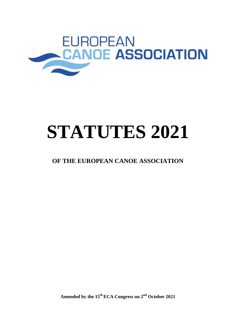

# **STATUTES 2021**

# **OF THE EUROPEAN CANOE ASSOCIATION**

**Amended by the 15th ECA Congress on 2nd October 2021**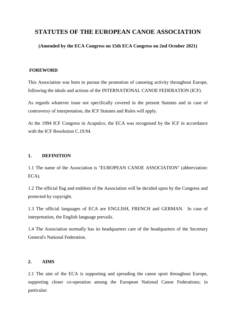# **STATUTES OF THE EUROPEAN CANOE ASSOCIATION**

**(Amended by the ECA Congress on 15th ECA Congress on 2nd October 2021)**

# **FOREWORD**

This Association was born to pursue the promotion of canoeing activity throughout Europe, following the ideals and actions of the INTERNATIONAL CANOE FEDERATION (ICF).

As regards whatever issue not specifically covered in the present Statutes and in case of controversy of interpretation, the ICF Statutes and Rules will apply.

At the 1994 ICF Congress in Acapulco, the ECA was recognised by the ICF in accordance with the ICF Resolution C.19.94.

# **1. DEFINITION**

1.1 The name of the Association is "EUROPEAN CANOE ASSOCIATION" (abbreviation: ECA).

1.2 The official flag and emblem of the Association will be decided upon by the Congress and protected by copyright.

1.3 The official languages of ECA are ENGLISH, FRENCH and GERMAN. In case of interpretation, the English language prevails.

1.4 The Association normally has its headquarters care of the headquarters of the Secretary General's National Federation.

#### **2. AIMS**

2.1 The aim of the ECA is supporting and spreading the canoe sport throughout Europe, supporting closer co-operation among the European National Canoe Federations; in particular: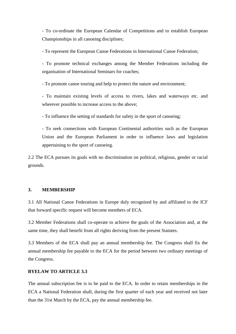- To co-ordinate the European Calendar of Competitions and to establish European Championships in all canoeing disciplines;

- To represent the European Canoe Federations in International Canoe Federation;

- To promote technical exchanges among the Member Federations including the organisation of International Seminars for coaches;

- To promote canoe touring and help to protect the nature and environment;

- To maintain existing levels of access to rivers, lakes and waterways etc. and wherever possible to increase access to the above;

- To influence the setting of standards for safety in the sport of canoeing;

- To seek connections with European Continental authorities such as the European Union and the European Parliament in order to influence laws and legislation appertaining to the sport of canoeing.

2.2 The ECA pursues its goals with no discrimination on political, religious, gender or racial grounds.

# **3. MEMBERSHIP**

3.1 All National Canoe Federations in Europe duly recognised by and affiliated to the ICF that forward specific request will become members of ECA.

3.2 Member Federations shall co-operate to achieve the goals of the Association and, at the same time, they shall benefit from all rights deriving from the present Statutes.

3.3 Members of the ECA shall pay an annual membership fee. The Congress shall fix the annual membership fee payable to the ECA for the period between two ordinary meetings of the Congress.

# **BYELAW TO ARTICLE 3.3**

The annual subscription fee is to be paid to the ECA. In order to retain memberships in the ECA a National Federation shall, during the first quarter of each year and received not later than the 31st March by the ECA, pay the annual membership fee.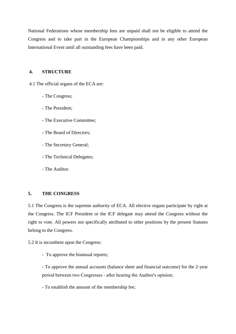National Federations whose membership fees are unpaid shall not be eligible to attend the Congress and to take part in the European Championships and in any other European International Event until all outstanding fees have been paid.

# **4. STRUCTURE**

4.1 The official organs of the ECA are:

- The Congress;
- The President;
- The Executive Committee;
- The Board of Directors;
- The Secretary General;
- The Technical Delegates;
- The Auditor.

# **5. THE CONGRESS**

5.1 The Congress is the supreme authority of ECA. All elective organs participate by right at the Congress. The ICF President or the ICF delegate may attend the Congress without the right to vote. All powers not specifically attributed to other positions by the present Statutes belong to the Congress.

5.2 It is incumbent upon the Congress:

- To approve the biannual reports;

- To approve the annual accounts (balance sheet and financial outcome) for the 2-year period between two Congresses ‐ after hearing the Auditor's opinion;

- To establish the amount of the membership fee;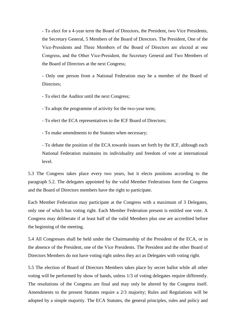- To elect for a 4‐year term the Board of Directors, the President, two Vice Presidents, the Secretary General, 5 Members of the Board of Directors. The President, One of the Vice‐Presidents and Three Members of the Board of Directors are elected at one Congress, and the Other Vice‐President, the Secretary General and Two Members of the Board of Directors at the next Congress;

- Only one person from a National Federation may be a member of the Board of Directors;

- To elect the Auditor until the next Congress;

- To adopt the programme of activity for the two‐year term;

- To elect the ECA representatives to the ICF Board of Directors;

- To make amendments to the Statutes when necessary;

- To debate the position of the ECA towards issues set forth by the ICF, although each National Federation maintains its individuality and freedom of vote at international level.

5.3 The Congress takes place every two years, but it elects positions according to the paragraph 5.2. The delegates appointed by the valid Member Federations form the Congress and the Board of Directors members have the right to participate.

Each Member Federation may participate at the Congress with a maximum of 3 Delegates, only one of which has voting right. Each Member Federation present is entitled one vote. A Congress may deliberate if at least half of the valid Members plus one are accredited before the beginning of the meeting.

5.4 All Congresses shall be held under the Chairmanship of the President of the ECA, or in the absence of the President, one of the Vice Presidents. The President and the other Board of Directors Members do not have voting right unless they act as Delegates with voting right.

5.5 The election of Board of Directors Members takes place by secret ballot while all other voting will be performed by show of hands, unless 1/3 of voting delegates require differently. The resolutions of the Congress are final and may only be altered by the Congress itself. Amendments to the present Statutes require a 2/3 majority; Rules and Regulations will be adopted by a simple majority. The ECA Statutes, the general principles, rules and policy and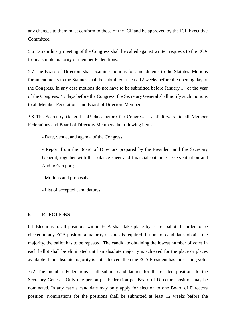any changes to them must conform to those of the ICF and be approved by the ICF Executive Committee.

5.6 Extraordinary meeting of the Congress shall be called against written requests to the ECA from a simple majority of member Federations.

5.7 The Board of Directors shall examine motions for amendments to the Statutes. Motions for amendments to the Statutes shall be submitted at least 12 weeks before the opening day of the Congress. In any case motions do not have to be submitted before January  $1<sup>st</sup>$  of the year of the Congress. 45 days before the Congress, the Secretary General shall notify such motions to all Member Federations and Board of Directors Members.

5.8 The Secretary General ‐ 45 days before the Congress ‐ shall forward to all Member Federations and Board of Directors Members the following items:

- Date, venue, and agenda of the Congress;

- Report from the Board of Directors prepared by the President and the Secretary General, together with the balance sheet and financial outcome, assets situation and Auditor's report;

- Motions and proposals;
- List of accepted candidatures.

#### **6. ELECTIONS**

6.1 Elections to all positions within ECA shall take place by secret ballot. In order to be elected to any ECA position a majority of votes is required. If none of candidates obtains the majority, the ballot has to be repeated. The candidate obtaining the lowest number of votes in each ballot shall be eliminated until an absolute majority is achieved for the place or places available. If an absolute majority is not achieved, then the ECA President has the casting vote.

6.2 The member Federations shall submit candidatures for the elected positions to the Secretary General. Only one person per Federation per Board of Directors position may be nominated. In any case a candidate may only apply for election to one Board of Directors position. Nominations for the positions shall be submitted at least 12 weeks before the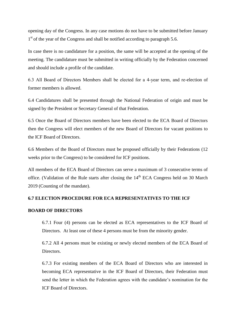opening day of the Congress. In any case motions do not have to be submitted before January 1<sup>st</sup> of the year of the Congress and shall be notified according to paragraph 5.6.

In case there is no candidature for a position, the same will be accepted at the opening of the meeting. The candidature must be submitted in writing officially by the Federation concerned and should include a profile of the candidate.

6.3 All Board of Directors Members shall be elected for a 4‐year term, and re-election of former members is allowed.

6.4 Candidatures shall be presented through the National Federation of origin and must be signed by the President or Secretary General of that Federation.

6.5 Once the Board of Directors members have been elected to the ECA Board of Directors then the Congress will elect members of the new Board of Directors for vacant positions to the ICF Board of Directors.

6.6 Members of the Board of Directors must be proposed officially by their Federations (12 weeks prior to the Congress) to be considered for ICF positions.

All members of the ECA Board of Directors can serve a maximum of 3 consecutive terms of office. (Validation of the Rule starts after closing the  $14<sup>th</sup> ECA$  Congress held on 30 March 2019 (Counting of the mandate).

# **6.7 ELECTION PROCEDURE FOR ECA REPRESENTATIVES TO THE ICF**

#### **BOARD OF DIRECTORS**

6.7.1 Four (4) persons can be elected as ECA representatives to the ICF Board of Directors. At least one of these 4 persons must be from the minority gender.

6.7.2 All 4 persons must be existing or newly elected members of the ECA Board of Directors.

6.7.3 For existing members of the ECA Board of Directors who are interested in becoming ECA representative in the ICF Board of Directors, their Federation must send the letter in which the Federation agrees with the candidate's nomination for the ICF Board of Directors.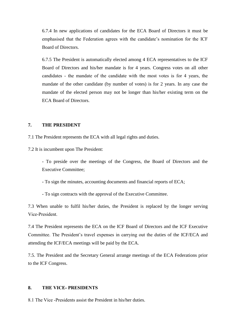6.7.4 In new applications of candidates for the ECA Board of Directors it must be emphasised that the Federation agrees with the candidate's nomination for the ICF Board of Directors.

6.7.5 The President is automatically elected among 4 ECA representatives to the ICF Board of Directors and his/her mandate is for 4 years. Congress votes on all other candidates ‐ the mandate of the candidate with the most votes is for 4 years, the mandate of the other candidate (by number of votes) is for 2 years. In any case the mandate of the elected person may not be longer than his/her existing term on the ECA Board of Directors.

#### **7. THE PRESIDENT**

7.1 The President represents the ECA with all legal rights and duties.

7.2 It is incumbent upon The President:

- To preside over the meetings of the Congress, the Board of Directors and the Executive Committee;

- To sign the minutes, accounting documents and financial reports of ECA;

- To sign contracts with the approval of the Executive Committee.

7.3 When unable to fulfil his/her duties, the President is replaced by the longer serving Vice‐President.

7.4 The President represents the ECA on the ICF Board of Directors and the ICF Executive Committee. The President's travel expenses in carrying out the duties of the ICF/ECA and attending the ICF/ECA meetings will be paid by the ECA.

7.5. The President and the Secretary General arrange meetings of the ECA Federations prior to the ICF Congress.

#### **8. THE VICE‐ PRESIDENTS**

8.1 The Vice ‐Presidents assist the President in his/her duties.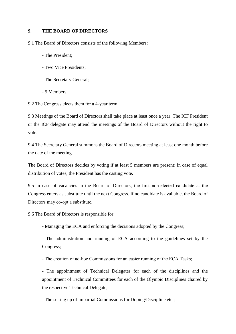# **9. THE BOARD OF DIRECTORS**

9.1 The Board of Directors consists of the following Members:

- The President;
- Two Vice Presidents;
- The Secretary General;
- 5 Members.

9.2 The Congress elects them for a 4‐year term.

9.3 Meetings of the Board of Directors shall take place at least once a year. The ICF President or the ICF delegate may attend the meetings of the Board of Directors without the right to vote.

9.4 The Secretary General summons the Board of Directors meeting at least one month before the date of the meeting.

The Board of Directors decides by voting if at least 5 members are present: in case of equal distribution of votes, the President has the casting vote.

9.5 In case of vacancies in the Board of Directors, the first non‐elected candidate at the Congress enters as substitute until the next Congress. If no candidate is available, the Board of Directors may co-opt a substitute.

9.6 The Board of Directors is responsible for:

- Managing the ECA and enforcing the decisions adopted by the Congress;

- The administration and running of ECA according to the guidelines set by the Congress;

- The creation of ad-hoc Commissions for an easier running of the ECA Tasks;

- The appointment of Technical Delegates for each of the disciplines and the appointment of Technical Committees for each of the Olympic Disciplines chaired by the respective Technical Delegate;

- The setting up of impartial Commissions for Doping/Discipline etc.;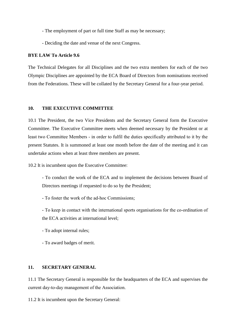- The employment of part or full time Staff as may be necessary;

- Deciding the date and venue of the next Congress.

#### **BYE LAW To Article 9.6**

The Technical Delegates for all Disciplines and the two extra members for each of the two Olympic Disciplines are appointed by the ECA Board of Directors from nominations received from the Federations. These will be collated by the Secretary General for a four-year period.

#### **10. THE EXECUTIVE COMMITTEE**

10.1 The President, the two Vice Presidents and the Secretary General form the Executive Committee. The Executive Committee meets when deemed necessary by the President or at least two Committee Members ‐ in order to fulfil the duties specifically attributed to it by the present Statutes. It is summoned at least one month before the date of the meeting and it can undertake actions when at least three members are present.

10.2 It is incumbent upon the Executive Committee:

- To conduct the work of the ECA and to implement the decisions between Board of Directors meetings if requested to do so by the President;

- To foster the work of the ad‐hoc Commissions;

- To keep in contact with the international sports organisations for the co-ordination of the ECA activities at international level;

- To adopt internal rules;
- To award badges of merit.

#### **11. SECRETARY GENERAL**

11.1 The Secretary General is responsible for the headquarters of the ECA and supervises the current day‐to‐day management of the Association.

11.2 It is incumbent upon the Secretary General: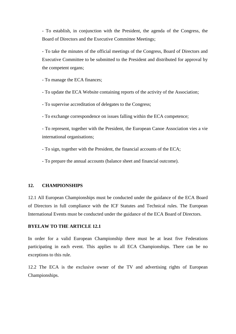- To establish, in conjunction with the President, the agenda of the Congress, the Board of Directors and the Executive Committee Meetings;

- To take the minutes of the official meetings of the Congress, Board of Directors and Executive Committee to be submitted to the President and distributed for approval by the competent organs;

- To manage the ECA finances;

- To update the ECA Website containing reports of the activity of the Association;

- To supervise accreditation of delegates to the Congress;

- To exchange correspondence on issues falling within the ECA competence;

- To represent, together with the President, the European Canoe Association vies a vie international organisations;

- To sign, together with the President, the financial accounts of the ECA;

- To prepare the annual accounts (balance sheet and financial outcome).

#### **12. CHAMPIONSHIPS**

12.1 All European Championships must be conducted under the guidance of the ECA Board of Directors in full compliance with the ICF Statutes and Technical rules. The European International Events must be conducted under the guidance of the ECA Board of Directors.

#### **BYELAW TO THE ARTICLE 12.1**

In order for a valid European Championship there must be at least five Federations participating in each event. This applies to all ECA Championships. There can be no exceptions to this rule.

12.2 The ECA is the exclusive owner of the TV and advertising rights of European Championships.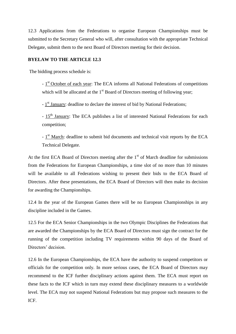12.3 Applications from the Federations to organise European Championships must be submitted to the Secretary General who will, after consultation with the appropriate Technical Delegate, submit them to the next Board of Directors meeting for their decision.

# **BYELAW TO THE ARTICLE 12.3**

The bidding process schedule is:

- 1<sup>st</sup> October of each year: The ECA informs all National Federations of competitions which will be allocated at the  $1<sup>st</sup>$  Board of Directors meeting of following year;

- 1<sup>st</sup> January: deadline to declare the interest of bid by National Federations;

- 15<sup>th</sup> January: The ECA publishes a list of interested National Federations for each competition;

- 1<sup>st</sup> March: deadline to submit bid documents and technical visit reports by the ECA Technical Delegate.

At the first ECA Board of Directors meeting after the  $1<sup>st</sup>$  of March deadline for submissions from the Federations for European Championships, a time slot of no more than 10 minutes will be available to all Federations wishing to present their bids to the ECA Board of Directors. After these presentations, the ECA Board of Directors will then make its decision for awarding the Championships.

12.4 In the year of the European Games there will be no European Championships in any discipline included in the Games.

12.5 For the ECA Senior Championships in the two Olympic Disciplines the Federations that are awarded the Championships by the ECA Board of Directors must sign the contract for the running of the competition including TV requirements within 90 days of the Board of Directors' decision.

12.6 In the European Championships, the ECA have the authority to suspend competitors or officials for the competition only. In more serious cases, the ECA Board of Directors may recommend to the ICF further disciplinary actions against them. The ECA must report on these facts to the ICF which in turn may extend these disciplinary measures to a worldwide level. The ECA may not suspend National Federations but may propose such measures to the ICF.